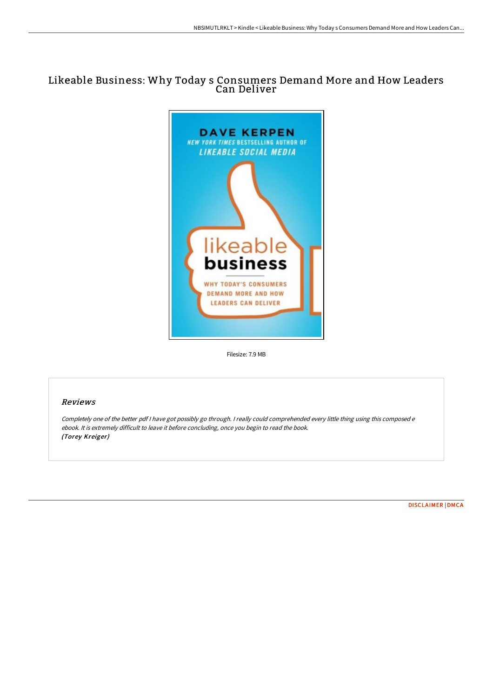# Likeable Business: Why Today s Consumers Demand More and How Leaders Can Deliver



Filesize: 7.9 MB

## Reviews

Completely one of the better pdf <sup>I</sup> have got possibly go through. <sup>I</sup> really could comprehended every little thing using this composed <sup>e</sup> ebook. It is extremely difficult to leave it before concluding, once you begin to read the book. (Torey Kreiger)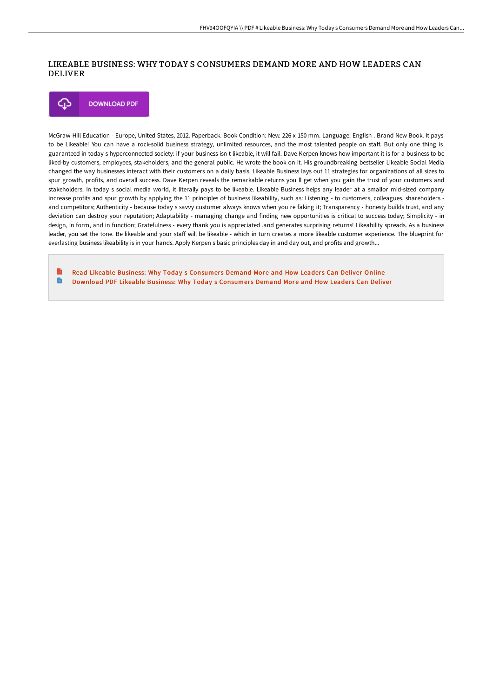### LIKEABLE BUSINESS: WHY TODAY S CONSUMERS DEMAND MORE AND HOW LEADERS CAN DELIVER



McGraw-Hill Education - Europe, United States, 2012. Paperback. Book Condition: New. 226 x 150 mm. Language: English . Brand New Book. It pays to be Likeable! You can have a rock-solid business strategy, unlimited resources, and the most talented people on staff. But only one thing is guaranteed in today s hyperconnected society: if your business isn t likeable, it will fail. Dave Kerpen knows how important it is for a business to be liked-by customers, employees, stakeholders, and the general public. He wrote the book on it. His groundbreaking bestseller Likeable Social Media changed the way businesses interact with their customers on a daily basis. Likeable Business lays out 11 strategies for organizations of all sizes to spur growth, profits, and overall success. Dave Kerpen reveals the remarkable returns you ll get when you gain the trust of your customers and stakeholders. In today s social media world, it literally pays to be likeable. Likeable Business helps any leader at a smallor mid-sized company increase profits and spur growth by applying the 11 principles of business likeability, such as: Listening - to customers, colleagues, shareholders and competitors; Authenticity - because today s savvy customer always knows when you re faking it; Transparency - honesty builds trust, and any deviation can destroy your reputation; Adaptability - managing change and finding new opportunities is critical to success today; Simplicity - in design, in form, and in function; Gratefulness - every thank you is appreciated .and generates surprising returns! Likeability spreads. As a business leader, you set the tone. Be likeable and your staff will be likeable - which in turn creates a more likeable customer experience. The blueprint for everlasting business likeability is in your hands. Apply Kerpen s basic principles day in and day out, and profits and growth...

Read Likeable Business: Why Today s [Consumer](http://www.bookdirs.com/likeable-business-why-today-s-consumers-demand-m.html)s Demand More and How Leaders Can Deliver Online n [Download](http://www.bookdirs.com/likeable-business-why-today-s-consumers-demand-m.html) PDF Likeable Business: Why Today s Consumers Demand More and How Leaders Can Deliver